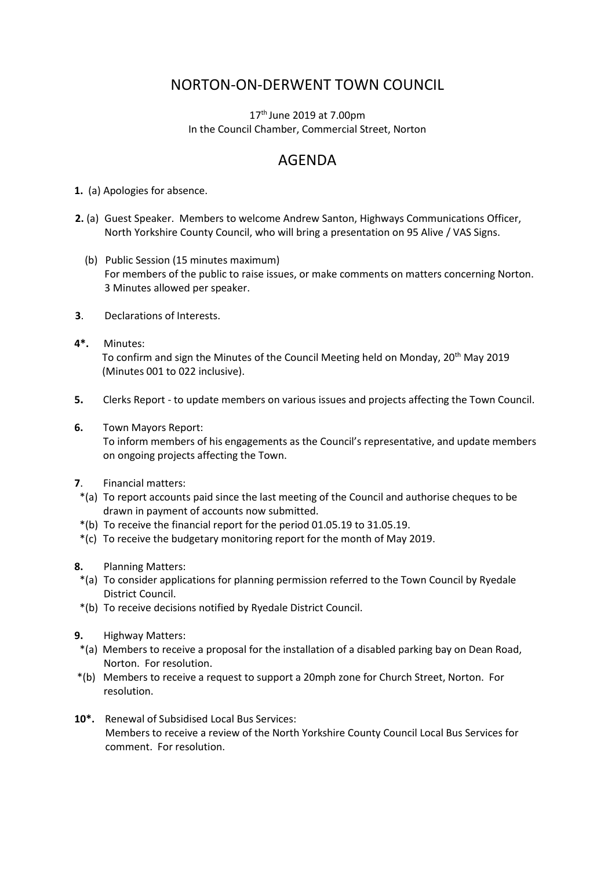## NORTON-ON-DERWENT TOWN COUNCIL

 $17<sup>th</sup>$  June 2019 at 7.00pm In the Council Chamber, Commercial Street, Norton

## AGENDA

**1.** (a) Apologies for absence.

- **2.** (a) Guest Speaker. Members to welcome Andrew Santon, Highways Communications Officer, North Yorkshire County Council, who will bring a presentation on 95 Alive / VAS Signs.
	- (b) Public Session (15 minutes maximum) For members of the public to raise issues, or make comments on matters concerning Norton. 3 Minutes allowed per speaker.
- **3**. Declarations of Interests.
- **4\*.** Minutes: To confirm and sign the Minutes of the Council Meeting held on Monday, 20<sup>th</sup> May 2019 (Minutes 001 to 022 inclusive).
- **5.** Clerks Report to update members on various issues and projects affecting the Town Council.
- **6.** Town Mayors Report:

 To inform members of his engagements as the Council's representative, and update members on ongoing projects affecting the Town.

- **7**. Financial matters:
- \*(a) To report accounts paid since the last meeting of the Council and authorise cheques to be drawn in payment of accounts now submitted.
- \*(b) To receive the financial report for the period 01.05.19 to 31.05.19.
- \*(c) To receive the budgetary monitoring report for the month of May 2019.
- **8.** Planning Matters:
- \*(a) To consider applications for planning permission referred to the Town Council by Ryedale District Council.
- \*(b) To receive decisions notified by Ryedale District Council.
- **9.** Highway Matters:
- \*(a) Members to receive a proposal for the installation of a disabled parking bay on Dean Road, Norton. For resolution.
- \*(b) Members to receive a request to support a 20mph zone for Church Street, Norton. For resolution.
- **10\*.** Renewal of Subsidised Local Bus Services: Members to receive a review of the North Yorkshire County Council Local Bus Services for comment. For resolution.